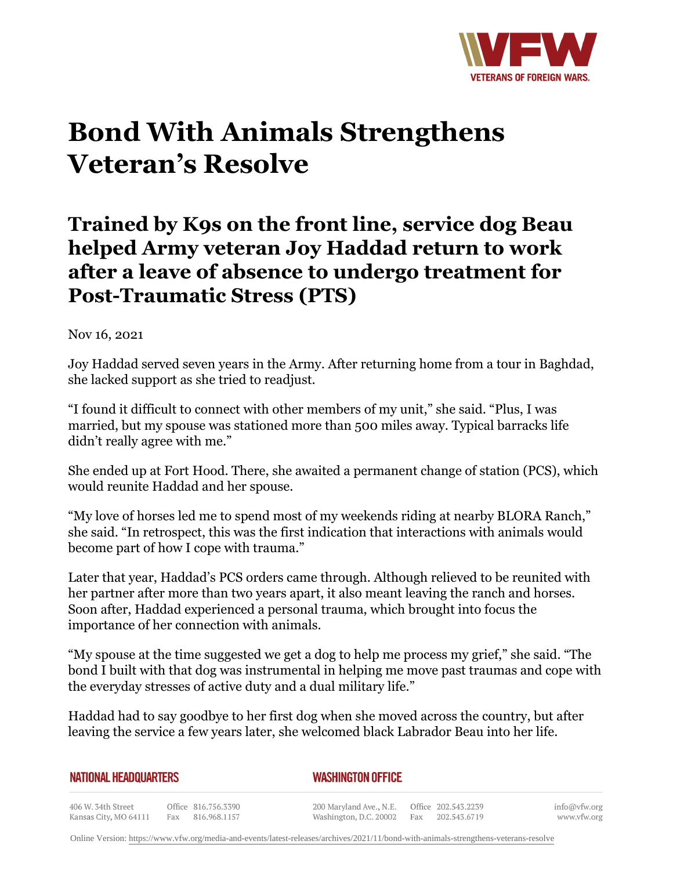

## **Bond With Animals Strengthens Veteran's Resolve**

## **Trained by K9s on the front line, service dog Beau helped Army veteran Joy Haddad return to work after a leave of absence to undergo treatment for Post-Traumatic Stress (PTS)**

Nov 16, 2021

Joy Haddad served seven years in the Army. After returning home from a tour in Baghdad, she lacked support as she tried to readjust.

"I found it difficult to connect with other members of my unit," she said. "Plus, I was married, but my spouse was stationed more than 500 miles away. Typical barracks life didn't really agree with me."

She ended up at Fort Hood. There, she awaited a permanent change of station (PCS), which would reunite Haddad and her spouse.

"My love of horses led me to spend most of my weekends riding at nearby BLORA Ranch," she said. "In retrospect, this was the first indication that interactions with animals would become part of how I cope with trauma."

Later that year, Haddad's PCS orders came through. Although relieved to be reunited with her partner after more than two years apart, it also meant leaving the ranch and horses. Soon after, Haddad experienced a personal trauma, which brought into focus the importance of her connection with animals.

"My spouse at the time suggested we get a dog to help me process my grief," she said. "The bond I built with that dog was instrumental in helping me move past traumas and cope with the everyday stresses of active duty and a dual military life."

Haddad had to say goodbye to her first dog when she moved across the country, but after leaving the service a few years later, she welcomed black Labrador Beau into her life.

| NATIONAL HEADQUARTERS |
|-----------------------|
|-----------------------|

*WASHINGTON OFFICE* 

406 W. 34th Street Office 816.756.3390 Fax 816.968.1157 Kansas City, MO 64111

200 Maryland Ave., N.E. Washington, D.C. 20002 Fax

Office 202.543.2239 202.543.6719 info@vfw.org www.vfw.org

Online Version:<https://www.vfw.org/media-and-events/latest-releases/archives/2021/11/bond-with-animals-strengthens-veterans-resolve>